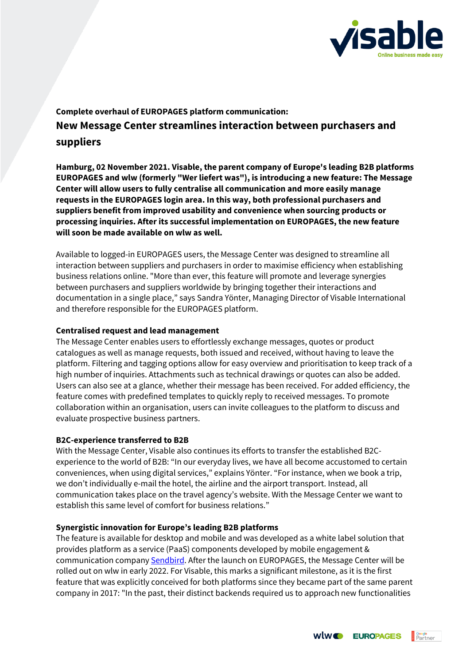

# **Complete overhaul of EUROPAGES platform communication: New Message Center streamlines interaction between purchasers and suppliers**

**Hamburg, 02 November 2021. Visable, the parent company of Europe's leading B2B platforms EUROPAGES and wlw (formerly "Wer liefert was"), is introducing a new feature: The Message Center will allow users to fully centralise all communication and more easily manage requests in the EUROPAGES login area. In this way, both professional purchasers and suppliers benefit from improved usability and convenience when sourcing products or processing inquiries. After its successful implementation on EUROPAGES, the new feature will soon be made available on wlw as well.**

Available to logged-in EUROPAGES users, the Message Center was designed to streamline all interaction between suppliers and purchasers in order to maximise efficiency when establishing business relations online. "More than ever, this feature will promote and leverage synergies between purchasers and suppliers worldwide by bringing together their interactions and documentation in a single place," says Sandra Yönter, Managing Director of Visable International and therefore responsible for the EUROPAGES platform.

## **Centralised request and lead management**

The Message Center enables users to effortlessly exchange messages, quotes or product catalogues as well as manage requests, both issued and received, without having to leave the platform. Filtering and tagging options allow for easy overview and prioritisation to keep track of a high number of inquiries. Attachments such as technical drawings or quotes can also be added. Users can also see at a glance, whether their message has been received. For added efficiency, the feature comes with predefined templates to quickly reply to received messages. To promote collaboration within an organisation, users can invite colleagues to the platform to discuss and evaluate prospective business partners.

#### **B2C-experience transferred to B2B**

With the Message Center, Visable also continues its efforts to transfer the established B2Cexperience to the world of B2B: "In our everyday lives, we have all become accustomed to certain conveniences, when using digital services," explains Yönter. "For instance, when we book a trip, we don't individually e-mail the hotel, the airline and the airport transport. Instead, all communication takes place on the travel agency's website. With the Message Center we want to establish this same level of comfort for business relations."

## **Synergistic innovation for Europe's leading B2B platforms**

The feature is available for desktop and mobile and was developed as a white label solution that provides platform as a service (PaaS) components developed by mobile engagement & communication compan[y Sendbird.](https://sendbird.com/) After the launch on EUROPAGES, the Message Center will be rolled out on wlw in early 2022. For Visable, this marks a significant milestone, as it is the first feature that was explicitly conceived for both platforms since they became part of the same parent company in 2017: "In the past, their distinct backends required us to approach new functionalities